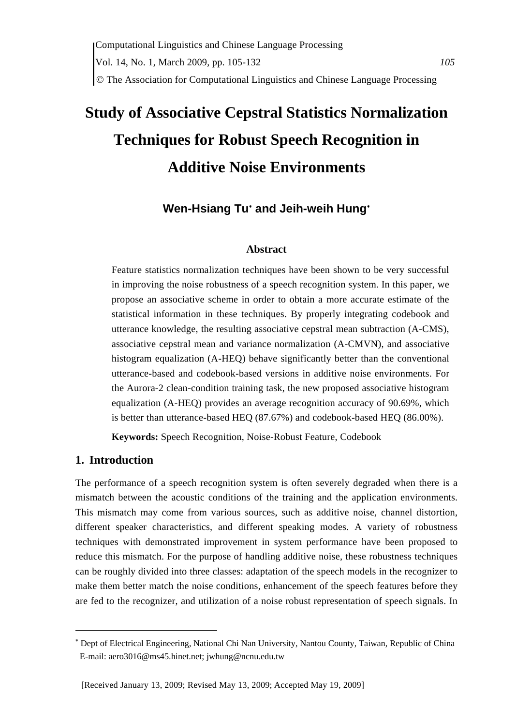# **Study of Associative Cepstral Statistics Normalization Techniques for Robust Speech Recognition in Additive Noise Environments**

# **Wen-Hsiang Tu**<sup>∗</sup>  **and Jeih-weih Hung**<sup>∗</sup>

#### **Abstract**

Feature statistics normalization techniques have been shown to be very successful in improving the noise robustness of a speech recognition system. In this paper, we propose an associative scheme in order to obtain a more accurate estimate of the statistical information in these techniques. By properly integrating codebook and utterance knowledge, the resulting associative cepstral mean subtraction (A-CMS), associative cepstral mean and variance normalization (A-CMVN), and associative histogram equalization (A-HEQ) behave significantly better than the conventional utterance-based and codebook-based versions in additive noise environments. For the Aurora-2 clean-condition training task, the new proposed associative histogram equalization (A-HEQ) provides an average recognition accuracy of 90.69%, which is better than utterance-based HEQ (87.67%) and codebook-based HEQ (86.00%).

**Keywords:** Speech Recognition, Noise-Robust Feature, Codebook

# **1. Introduction**

The performance of a speech recognition system is often severely degraded when there is a mismatch between the acoustic conditions of the training and the application environments. This mismatch may come from various sources, such as additive noise, channel distortion, different speaker characteristics, and different speaking modes. A variety of robustness techniques with demonstrated improvement in system performance have been proposed to reduce this mismatch. For the purpose of handling additive noise, these robustness techniques can be roughly divided into three classes: adaptation of the speech models in the recognizer to make them better match the noise conditions, enhancement of the speech features before they are fed to the recognizer, and utilization of a noise robust representation of speech signals. In

<sup>∗</sup> Dept of Electrical Engineering, National Chi Nan University, Nantou County, Taiwan, Republic of China E-mail: aero3016@ms45.hinet.net; jwhung@ncnu.edu.tw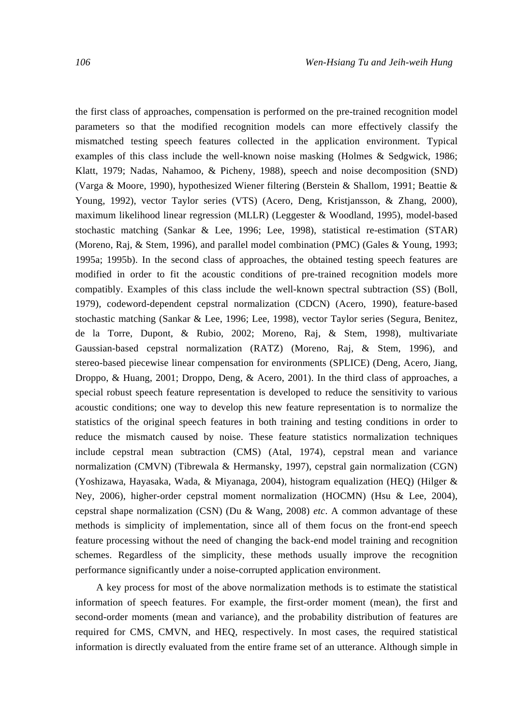the first class of approaches, compensation is performed on the pre-trained recognition model parameters so that the modified recognition models can more effectively classify the mismatched testing speech features collected in the application environment. Typical examples of this class include the well-known noise masking (Holmes & Sedgwick, 1986; Klatt, 1979; Nadas, Nahamoo, & Picheny, 1988), speech and noise decomposition (SND) (Varga & Moore, 1990), hypothesized Wiener filtering (Berstein & Shallom, 1991; Beattie & Young, 1992), vector Taylor series (VTS) (Acero, Deng, Kristjansson, & Zhang, 2000), maximum likelihood linear regression (MLLR) (Leggester & Woodland, 1995), model-based stochastic matching (Sankar & Lee, 1996; Lee, 1998), statistical re-estimation (STAR) (Moreno, Raj, & Stem, 1996), and parallel model combination (PMC) (Gales & Young, 1993; 1995a; 1995b). In the second class of approaches, the obtained testing speech features are modified in order to fit the acoustic conditions of pre-trained recognition models more compatibly. Examples of this class include the well-known spectral subtraction (SS) (Boll, 1979), codeword-dependent cepstral normalization (CDCN) (Acero, 1990), feature-based stochastic matching (Sankar & Lee, 1996; Lee, 1998), vector Taylor series (Segura, Benitez, de la Torre, Dupont, & Rubio, 2002; Moreno, Raj, & Stem, 1998), multivariate Gaussian-based cepstral normalization (RATZ) (Moreno, Raj, & Stem, 1996), and stereo-based piecewise linear compensation for environments (SPLICE) (Deng, Acero, Jiang, Droppo, & Huang, 2001; Droppo, Deng, & Acero, 2001). In the third class of approaches, a special robust speech feature representation is developed to reduce the sensitivity to various acoustic conditions; one way to develop this new feature representation is to normalize the statistics of the original speech features in both training and testing conditions in order to reduce the mismatch caused by noise. These feature statistics normalization techniques include cepstral mean subtraction (CMS) (Atal, 1974), cepstral mean and variance normalization (CMVN) (Tibrewala & Hermansky, 1997), cepstral gain normalization (CGN) (Yoshizawa, Hayasaka, Wada, & Miyanaga, 2004), histogram equalization (HEQ) (Hilger & Ney, 2006), higher-order cepstral moment normalization (HOCMN) (Hsu & Lee, 2004), cepstral shape normalization (CSN) (Du & Wang, 2008) *etc*. A common advantage of these methods is simplicity of implementation, since all of them focus on the front-end speech feature processing without the need of changing the back-end model training and recognition schemes. Regardless of the simplicity, these methods usually improve the recognition performance significantly under a noise-corrupted application environment.

A key process for most of the above normalization methods is to estimate the statistical information of speech features. For example, the first-order moment (mean), the first and second-order moments (mean and variance), and the probability distribution of features are required for CMS, CMVN, and HEQ, respectively. In most cases, the required statistical information is directly evaluated from the entire frame set of an utterance. Although simple in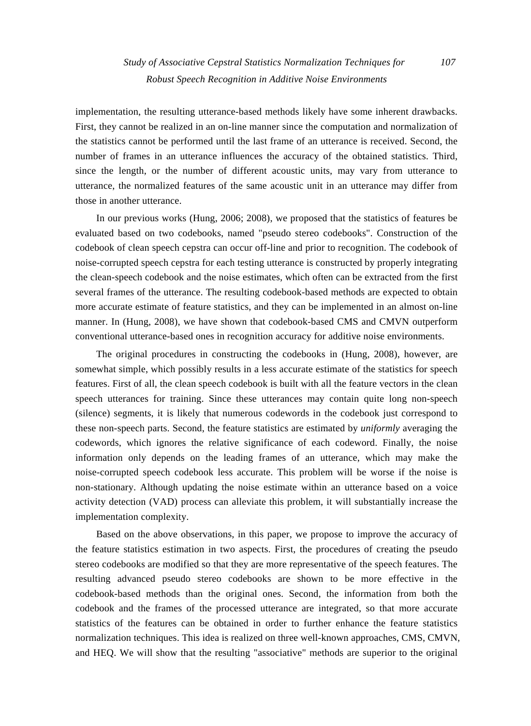implementation, the resulting utterance-based methods likely have some inherent drawbacks. First, they cannot be realized in an on-line manner since the computation and normalization of the statistics cannot be performed until the last frame of an utterance is received. Second, the number of frames in an utterance influences the accuracy of the obtained statistics. Third, since the length, or the number of different acoustic units, may vary from utterance to utterance, the normalized features of the same acoustic unit in an utterance may differ from those in another utterance.

In our previous works (Hung, 2006; 2008), we proposed that the statistics of features be evaluated based on two codebooks, named "pseudo stereo codebooks". Construction of the codebook of clean speech cepstra can occur off-line and prior to recognition. The codebook of noise-corrupted speech cepstra for each testing utterance is constructed by properly integrating the clean-speech codebook and the noise estimates, which often can be extracted from the first several frames of the utterance. The resulting codebook-based methods are expected to obtain more accurate estimate of feature statistics, and they can be implemented in an almost on-line manner. In (Hung, 2008), we have shown that codebook-based CMS and CMVN outperform conventional utterance-based ones in recognition accuracy for additive noise environments.

The original procedures in constructing the codebooks in (Hung, 2008), however, are somewhat simple, which possibly results in a less accurate estimate of the statistics for speech features. First of all, the clean speech codebook is built with all the feature vectors in the clean speech utterances for training. Since these utterances may contain quite long non-speech (silence) segments, it is likely that numerous codewords in the codebook just correspond to these non-speech parts. Second, the feature statistics are estimated by *uniformly* averaging the codewords, which ignores the relative significance of each codeword. Finally, the noise information only depends on the leading frames of an utterance, which may make the noise-corrupted speech codebook less accurate. This problem will be worse if the noise is non-stationary. Although updating the noise estimate within an utterance based on a voice activity detection (VAD) process can alleviate this problem, it will substantially increase the implementation complexity.

Based on the above observations, in this paper, we propose to improve the accuracy of the feature statistics estimation in two aspects. First, the procedures of creating the pseudo stereo codebooks are modified so that they are more representative of the speech features. The resulting advanced pseudo stereo codebooks are shown to be more effective in the codebook-based methods than the original ones. Second, the information from both the codebook and the frames of the processed utterance are integrated, so that more accurate statistics of the features can be obtained in order to further enhance the feature statistics normalization techniques. This idea is realized on three well-known approaches, CMS, CMVN, and HEQ. We will show that the resulting "associative" methods are superior to the original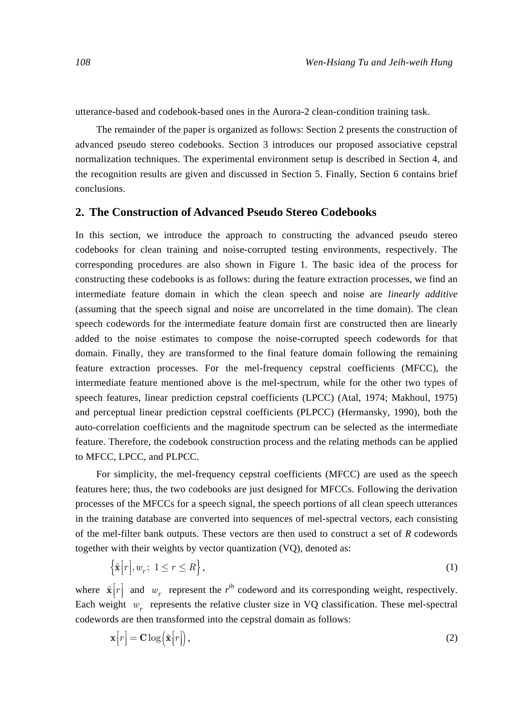utterance-based and codebook-based ones in the Aurora-2 clean-condition training task.

The remainder of the paper is organized as follows: Section 2 presents the construction of advanced pseudo stereo codebooks. Section 3 introduces our proposed associative cepstral normalization techniques. The experimental environment setup is described in Section 4, and the recognition results are given and discussed in Section 5. Finally, Section 6 contains brief conclusions.

## **2. The Construction of Advanced Pseudo Stereo Codebooks**

In this section, we introduce the approach to constructing the advanced pseudo stereo codebooks for clean training and noise-corrupted testing environments, respectively. The corresponding procedures are also shown in Figure 1. The basic idea of the process for constructing these codebooks is as follows: during the feature extraction processes, we find an intermediate feature domain in which the clean speech and noise are *linearly additive*  (assuming that the speech signal and noise are uncorrelated in the time domain). The clean speech codewords for the intermediate feature domain first are constructed then are linearly added to the noise estimates to compose the noise-corrupted speech codewords for that domain. Finally, they are transformed to the final feature domain following the remaining feature extraction processes. For the mel-frequency cepstral coefficients (MFCC), the intermediate feature mentioned above is the mel-spectrum, while for the other two types of speech features, linear prediction cepstral coefficients (LPCC) (Atal, 1974; Makhoul, 1975) and perceptual linear prediction cepstral coefficients (PLPCC) (Hermansky, 1990), both the auto-correlation coefficients and the magnitude spectrum can be selected as the intermediate feature. Therefore, the codebook construction process and the relating methods can be applied to MFCC, LPCC, and PLPCC.

For simplicity, the mel-frequency cepstral coefficients (MFCC) are used as the speech features here; thus, the two codebooks are just designed for MFCCs. Following the derivation processes of the MFCCs for a speech signal, the speech portions of all clean speech utterances in the training database are converted into sequences of mel-spectral vectors, each consisting of the mel-filter bank outputs. These vectors are then used to construct a set of *R* codewords together with their weights by vector quantization (VQ), denoted as:

$$
\left\{\tilde{\mathbf{x}}[r], w_r; 1 \le r \le R\right\},\tag{1}
$$

where  $\tilde{\mathbf{x}}[r]$  and  $w_r$  represent the  $r^{\text{th}}$  codeword and its corresponding weight, respectively. Each weight *w<sub>r</sub>* represents the relative cluster size in VQ classification. These mel-spectral codewords are then transformed into the cepstral domain as follows:

$$
\mathbf{x}[r] = \mathbf{C} \log(\tilde{\mathbf{x}}[r]),\tag{2}
$$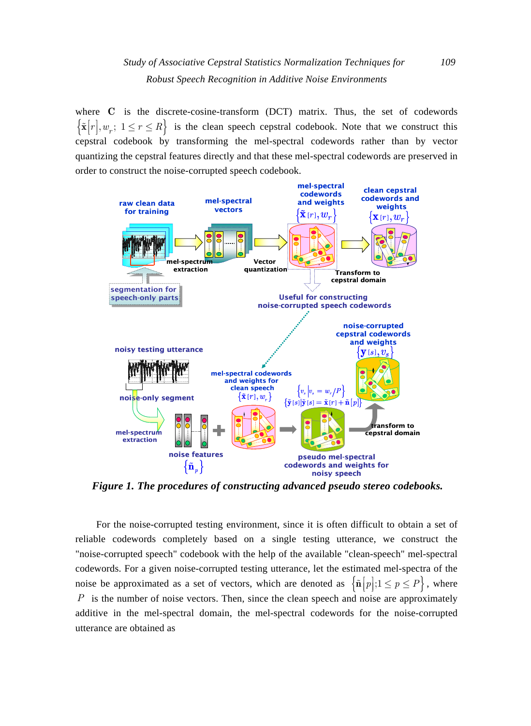where **C** is the discrete-cosine-transform (DCT) matrix. Thus, the set of codewords  $\{\tilde{\mathbf{x}}[r], w_r; 1 \leq r \leq R\}$  is the clean speech cepstral codebook. Note that we construct this cepstral codebook by transforming the mel-spectral codewords rather than by vector quantizing the cepstral features directly and that these mel-spectral codewords are preserved in order to construct the noise-corrupted speech codebook.



*Figure 1. The procedures of constructing advanced pseudo stereo codebooks.* 

For the noise-corrupted testing environment, since it is often difficult to obtain a set of reliable codewords completely based on a single testing utterance, we construct the "noise-corrupted speech" codebook with the help of the available "clean-speech" mel-spectral codewords. For a given noise-corrupted testing utterance, let the estimated mel-spectra of the noise be approximated as a set of vectors, which are denoted as  $\left\{ \tilde{n}[p];1\leq p\leq P\right\}$ , where ⎥ *P* is the number of noise vectors. Then, since the clean speech and noise are approximately additive in the mel-spectral domain, the mel-spectral codewords for the noise-corrupted utterance are obtained as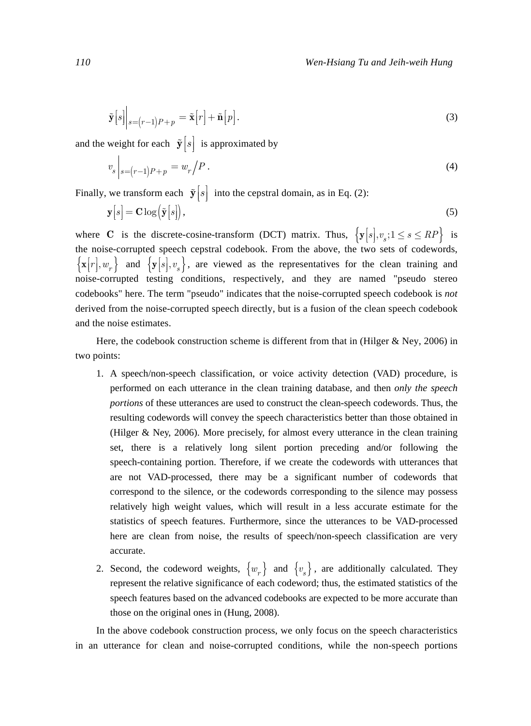$$
\tilde{\mathbf{y}}[s]\big|_{s=(r-1)P+p} = \tilde{\mathbf{x}}[r] + \tilde{\mathbf{n}}[p].
$$
\n(3)

and the weight for each  $\tilde{\mathbf{y}}[s]$  is approximated by

$$
v_s|_{s=(r-1)P+p} = w_r/P.
$$
\n(4)

Finally, we transform each  $\tilde{\mathbf{y}}[s]$  into the cepstral domain, as in Eq. (2):

$$
\mathbf{y}[s] = \mathbf{C} \log \left( \tilde{\mathbf{y}}[s] \right),\tag{5}
$$

where **C** is the discrete-cosine-transform (DCT) matrix. Thus,  $\{y[s], v_s; 1 \le s \le RP\}$  is the noise-corrupted speech cepstral codebook. From the above, the two sets of codewords,  ${x[r], w_r}$  and  ${y[s], v_s}$ , are viewed as the representatives for the clean training and noise-corrupted testing conditions, respectively, and they are named "pseudo stereo codebooks" here. The term "pseudo" indicates that the noise-corrupted speech codebook is *not* derived from the noise-corrupted speech directly, but is a fusion of the clean speech codebook and the noise estimates.

Here, the codebook construction scheme is different from that in (Hilger & Ney, 2006) in two points:

- 1. A speech/non-speech classification, or voice activity detection (VAD) procedure, is performed on each utterance in the clean training database, and then *only the speech portions* of these utterances are used to construct the clean-speech codewords. Thus, the resulting codewords will convey the speech characteristics better than those obtained in (Hilger & Ney, 2006). More precisely, for almost every utterance in the clean training set, there is a relatively long silent portion preceding and/or following the speech-containing portion. Therefore, if we create the codewords with utterances that are not VAD-processed, there may be a significant number of codewords that correspond to the silence, or the codewords corresponding to the silence may possess relatively high weight values, which will result in a less accurate estimate for the statistics of speech features. Furthermore, since the utterances to be VAD-processed here are clean from noise, the results of speech/non-speech classification are very accurate.
- 2. Second, the codeword weights,  $\{w_r\}$  and  $\{v_s\}$ , are additionally calculated. They represent the relative significance of each codeword; thus, the estimated statistics of the speech features based on the advanced codebooks are expected to be more accurate than those on the original ones in (Hung, 2008).

In the above codebook construction process, we only focus on the speech characteristics in an utterance for clean and noise-corrupted conditions, while the non-speech portions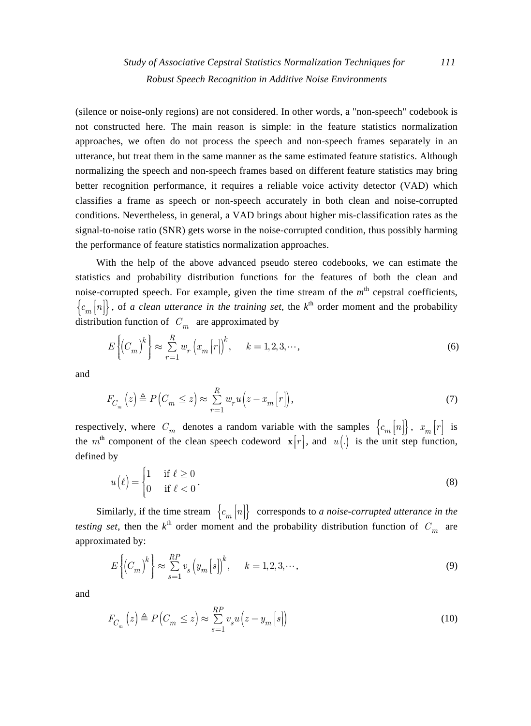(silence or noise-only regions) are not considered. In other words, a "non-speech" codebook is not constructed here. The main reason is simple: in the feature statistics normalization approaches, we often do not process the speech and non-speech frames separately in an utterance, but treat them in the same manner as the same estimated feature statistics. Although normalizing the speech and non-speech frames based on different feature statistics may bring better recognition performance, it requires a reliable voice activity detector (VAD) which classifies a frame as speech or non-speech accurately in both clean and noise-corrupted conditions. Nevertheless, in general, a VAD brings about higher mis-classification rates as the signal-to-noise ratio (SNR) gets worse in the noise-corrupted condition, thus possibly harming the performance of feature statistics normalization approaches.

With the help of the above advanced pseudo stereo codebooks, we can estimate the statistics and probability distribution functions for the features of both the clean and noise-corrupted speech. For example, given the time stream of the  $m<sup>th</sup>$  cepstral coefficients,  ${c_m[n]}$ , of *a clean utterance in the training set*, the  $k^{\text{th}}$  order moment and the probability distribution function of  $C_m$  are approximated by

$$
E\left\{\left(C_m\right)^k\right\} \approx \sum_{r=1}^R w_r \left(x_m \left[r\right]\right)^k, \quad k = 1, 2, 3, \cdots,\tag{6}
$$

and

$$
F_{C_m}(z) \triangleq P\left(C_m \leq z\right) \approx \sum_{r=1}^{R} w_r u\left(z - x_m\left[r\right]\right),\tag{7}
$$

respectively, where  $C_m$  denotes a random variable with the samples  ${c_m[n]}$ ,  $x_m[r]$  is the  $m<sup>th</sup>$  component of the clean speech codeword  $\mathbf{x}[r]$ , and  $u(.)$  is the unit step function, defined by

$$
u(\ell) = \begin{cases} 1 & \text{if } \ell \ge 0 \\ 0 & \text{if } \ell < 0 \end{cases} \tag{8}
$$

Similarly, if the time stream  ${c_m[n]}$  corresponds to *a noise-corrupted utterance in the testing set*, then the  $k^{\text{th}}$  order moment and the probability distribution function of  $C_m$  are approximated by:

$$
E\left\{\left(C_m\right)^k\right\} \approx \sum_{s=1}^{RP} v_s \left(y_m \left[s\right]\right)^k, \quad k = 1, 2, 3, \cdots,
$$
\n<sup>(9)</sup>

and

$$
F_{C_m}(z) \triangleq P\left(C_m \leq z\right) \approx \sum_{s=1}^{RP} v_s u\left(z - y_m\left[s\right]\right) \tag{10}
$$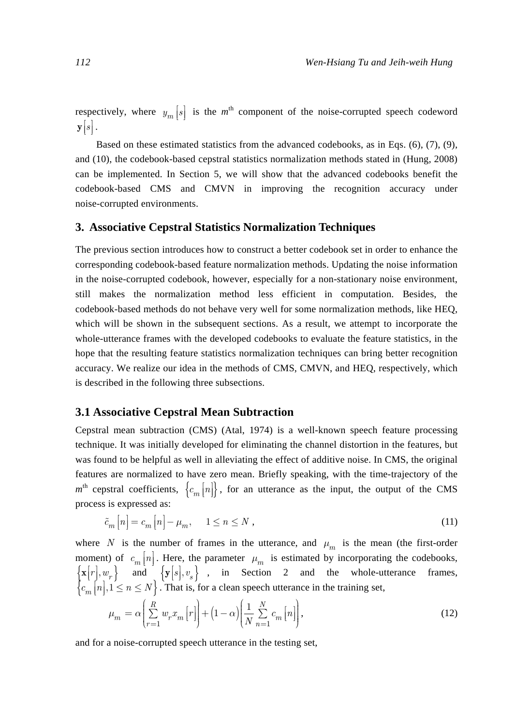respectively, where  $y_m[s]$  is the  $m^{\text{th}}$  component of the noise-corrupted speech codeword  $\mathbf{y}\Big[s\Big]\,.$ 

Based on these estimated statistics from the advanced codebooks, as in Eqs. (6), (7), (9), and (10), the codebook-based cepstral statistics normalization methods stated in (Hung, 2008) can be implemented. In Section 5, we will show that the advanced codebooks benefit the codebook-based CMS and CMVN in improving the recognition accuracy under noise-corrupted environments.

#### **3. Associative Cepstral Statistics Normalization Techniques**

The previous section introduces how to construct a better codebook set in order to enhance the corresponding codebook-based feature normalization methods. Updating the noise information in the noise-corrupted codebook, however, especially for a non-stationary noise environment, still makes the normalization method less efficient in computation. Besides, the codebook-based methods do not behave very well for some normalization methods, like HEQ, which will be shown in the subsequent sections. As a result, we attempt to incorporate the whole-utterance frames with the developed codebooks to evaluate the feature statistics, in the hope that the resulting feature statistics normalization techniques can bring better recognition accuracy. We realize our idea in the methods of CMS, CMVN, and HEQ, respectively, which is described in the following three subsections.

#### **3.1 Associative Cepstral Mean Subtraction**

Cepstral mean subtraction (CMS) (Atal, 1974) is a well-known speech feature processing technique. It was initially developed for eliminating the channel distortion in the features, but was found to be helpful as well in alleviating the effect of additive noise. In CMS, the original features are normalized to have zero mean. Briefly speaking, with the time-trajectory of the  $m<sup>th</sup>$  cepstral coefficients,  ${c_m[n]}$ , for an utterance as the input, the output of the CMS process is expressed as:

$$
\tilde{c}_m[n] = c_m[n] - \mu_m, \quad 1 \le n \le N \tag{11}
$$

where *N* is the number of frames in the utterance, and  $\mu_m$  is the mean (the first-order moment) of  $c_m[n]$ . Here, the parameter  $\mu_m$  is estimated by incorporating the codebooks,  ${x [r], w_r}$  and  ${y[s], v_s}$  , in Section 2 and the whole-utterance frames,  ${c_m n \brack m, 1 \le n \le N}$ . That is, for a clean speech utterance in the training set,

$$
\mu_m = \alpha \left( \sum_{r=1}^R w_r x_m \left[ r \right] \right) + \left( 1 - \alpha \right) \left( \frac{1}{N} \sum_{n=1}^N c_m \left[ n \right] \right),\tag{12}
$$

and for a noise-corrupted speech utterance in the testing set,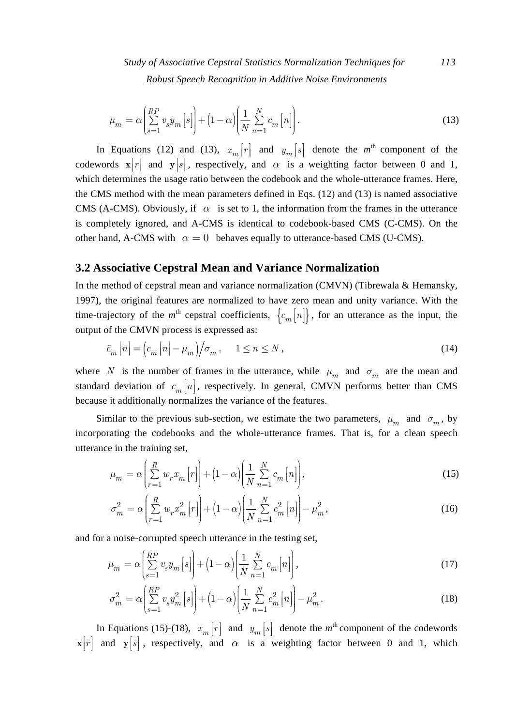*Study of Associative Cepstral Statistics Normalization Techniques for 113 Robust Speech Recognition in Additive Noise Environments* 

$$
\mu_m = \alpha \left( \sum_{s=1}^{RP} v_s y_m \left[ s \right] \right) + \left( 1 - \alpha \right) \left( \frac{1}{N} \sum_{n=1}^{N} c_m \left[ n \right] \right). \tag{13}
$$

In Equations (12) and (13),  $x_m[r]$  and  $y_m[s]$  denote the  $m^{\text{th}}$  component of the codewords  $\mathbf{x}[r]$  and  $\mathbf{y}[s]$ , respectively, and  $\alpha$  is a weighting factor between 0 and 1, which determines the usage ratio between the codebook and the whole-utterance frames. Here, the CMS method with the mean parameters defined in Eqs. (12) and (13) is named associative CMS (A-CMS). Obviously, if  $\alpha$  is set to 1, the information from the frames in the utterance is completely ignored, and A-CMS is identical to codebook-based CMS (C-CMS). On the other hand, A-CMS with  $\alpha = 0$  behaves equally to utterance-based CMS (U-CMS).

#### **3.2 Associative Cepstral Mean and Variance Normalization**

In the method of cepstral mean and variance normalization (CMVN) (Tibrewala & Hemansky, 1997), the original features are normalized to have zero mean and unity variance. With the time-trajectory of the  $m^{\text{th}}$  cepstral coefficients,  $\{c_m[n]\}\$ , for an utterance as the input, the output of the CMVN process is expressed as:

$$
\tilde{c}_m[n] = \left(c_m[n] - \mu_m\right) / \sigma_m, \quad 1 \le n \le N,
$$
\n(14)

where *N* is the number of frames in the utterance, while  $\mu_m$  and  $\sigma_m$  are the mean and standard deviation of  $c_m[n]$ , respectively. In general, CMVN performs better than CMS because it additionally normalizes the variance of the features.

Similar to the previous sub-section, we estimate the two parameters,  $\mu_m$  and  $\sigma_m$ , by incorporating the codebooks and the whole-utterance frames. That is, for a clean speech utterance in the training set,

$$
\mu_m = \alpha \left( \sum_{r=1}^R w_r x_m \left[ r \right] \right) + \left( 1 - \alpha \right) \left( \frac{1}{N} \sum_{n=1}^N c_m \left[ n \right] \right),\tag{15}
$$

$$
\sigma_m^2 = \alpha \left( \sum_{r=1}^R w_r x_m^2 \left[ r \right] \right) + \left( 1 - \alpha \right) \left( \frac{1}{N} \sum_{n=1}^N c_m^2 \left[ n \right] \right) - \mu_m^2, \tag{16}
$$

and for a noise-corrupted speech utterance in the testing set,

$$
\mu_m = \alpha \left( \sum_{s=1}^{RP} v_s y_m \left[ s \right] \right) + \left( 1 - \alpha \right) \left( \frac{1}{N} \sum_{n=1}^{N} c_m \left[ n \right] \right),\tag{17}
$$

$$
\sigma_m^2 = \alpha \left( \sum_{s=1}^{RP} v_s y_m^2 \left[ s \right] \right) + \left( 1 - \alpha \right) \left( \frac{1}{N} \sum_{n=1}^{N} c_m^2 \left[ n \right] \right) - \mu_m^2. \tag{18}
$$

In Equations (15)-(18),  $x_m[r]$  and  $y_m[s]$  denote the  $m^{\text{th}}$  component of the codewords  $\mathbf{x}[r]$  and  $\mathbf{y}[s]$ , respectively, and  $\alpha$  is a weighting factor between 0 and 1, which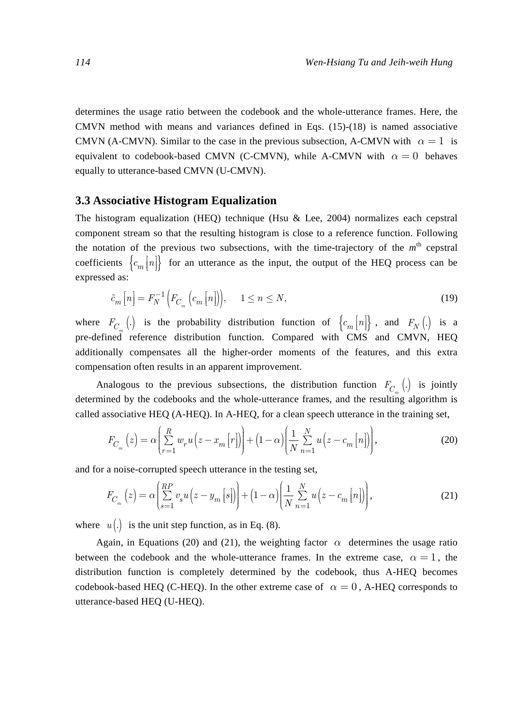determines the usage ratio between the codebook and the whole-utterance frames. Here, the CMVN method with means and variances defined in Eqs.  $(15)-(18)$  is named associative CMVN (A-CMVN). Similar to the case in the previous subsection, A-CMVN with  $\alpha = 1$  is equivalent to codebook-based CMVN (C-CMVN), while A-CMVN with  $\alpha = 0$  behaves equally to utterance-based CMVN (U-CMVN).

### **3.3 Associative Histogram Equalization**

The histogram equalization (HEQ) technique (Hsu & Lee, 2004) normalizes each cepstral component stream so that the resulting histogram is close to a reference function. Following the notation of the previous two subsections, with the time-trajectory of the  $m<sup>th</sup>$  cepstral coefficients  ${c_m}{\vert n \vert}$  for an utterance as the input, the output of the HEQ process can be expressed as:

$$
\tilde{c}_m\left[n\right] = F_N^{-1}\left(F_{C_m}\left(c_m\left[n\right]\right)\right), \quad 1 \le n \le N,\tag{19}
$$

where  $F_{C_m}$  (*.*) is the probability distribution function of  $\{c_m[n]\}$ , and  $F_N$  (*.*) is a pre-defined reference distribution function. Compared with CMS and CMVN, HEQ additionally compensates all the higher-order moments of the features, and this extra compensation often results in an apparent improvement.

Analogous to the previous subsections, the distribution function  $F_{C_m}$  (.) is jointly determined by the codebooks and the whole-utterance frames, and the resulting algorithm is called associative HEQ (A-HEQ). In A-HEQ, for a clean speech utterance in the training set,

$$
F_{C_m}\left(z\right) = \alpha \left(\sum_{r=1}^R w_r u\left(z - x_m\left[r\right]\right)\right) + \left(1 - \alpha\right) \left(\frac{1}{N} \sum_{n=1}^N u\left(z - c_m\left[n\right]\right)\right),\tag{20}
$$

and for a noise-corrupted speech utterance in the testing set,

$$
F_{C_m}\left(z\right) = \alpha \left(\sum_{s=1}^{RP} v_s u\left(z - y_m\left[s\right]\right)\right) + \left(1 - \alpha\right) \left(\frac{1}{N} \sum_{n=1}^{N} u\left(z - c_m\left[n\right]\right)\right),\tag{21}
$$

where  $u(.)$  is the unit step function, as in Eq. (8).

Again, in Equations (20) and (21), the weighting factor  $\alpha$  determines the usage ratio between the codebook and the whole-utterance frames. In the extreme case,  $\alpha = 1$ , the distribution function is completely determined by the codebook, thus A-HEQ becomes codebook-based HEQ (C-HEQ). In the other extreme case of  $\alpha = 0$ , A-HEQ corresponds to utterance-based HEQ (U-HEQ).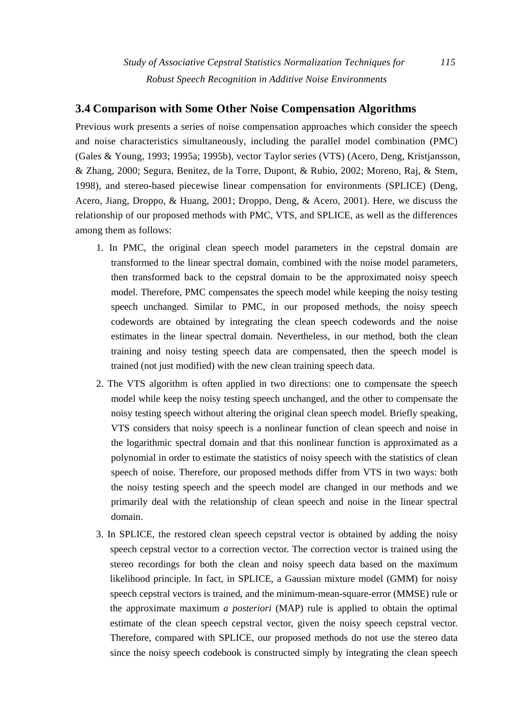# **3.4 Comparison with Some Other Noise Compensation Algorithms**

Previous work presents a series of noise compensation approaches which consider the speech and noise characteristics simultaneously, including the parallel model combination (PMC) (Gales & Young, 1993; 1995a; 1995b), vector Taylor series (VTS) (Acero, Deng, Kristjansson, & Zhang, 2000; Segura, Benitez, de la Torre, Dupont, & Rubio, 2002; Moreno, Raj, & Stem, 1998), and stereo-based piecewise linear compensation for environments (SPLICE) (Deng, Acero, Jiang, Droppo, & Huang, 2001; Droppo, Deng, & Acero, 2001). Here, we discuss the relationship of our proposed methods with PMC, VTS, and SPLICE, as well as the differences among them as follows:

- 1. In PMC, the original clean speech model parameters in the cepstral domain are transformed to the linear spectral domain, combined with the noise model parameters, then transformed back to the cepstral domain to be the approximated noisy speech model. Therefore, PMC compensates the speech model while keeping the noisy testing speech unchanged. Similar to PMC, in our proposed methods, the noisy speech codewords are obtained by integrating the clean speech codewords and the noise estimates in the linear spectral domain. Nevertheless, in our method, both the clean training and noisy testing speech data are compensated, then the speech model is trained (not just modified) with the new clean training speech data.
- 2. The VTS algorithm is often applied in two directions: one to compensate the speech model while keep the noisy testing speech unchanged, and the other to compensate the noisy testing speech without altering the original clean speech model. Briefly speaking, VTS considers that noisy speech is a nonlinear function of clean speech and noise in the logarithmic spectral domain and that this nonlinear function is approximated as a polynomial in order to estimate the statistics of noisy speech with the statistics of clean speech of noise. Therefore, our proposed methods differ from VTS in two ways: both the noisy testing speech and the speech model are changed in our methods and we primarily deal with the relationship of clean speech and noise in the linear spectral domain.
- 3. In SPLICE, the restored clean speech cepstral vector is obtained by adding the noisy speech cepstral vector to a correction vector. The correction vector is trained using the stereo recordings for both the clean and noisy speech data based on the maximum likelihood principle. In fact, in SPLICE, a Gaussian mixture model (GMM) for noisy speech cepstral vectors is trained, and the minimum-mean-square-error (MMSE) rule or the approximate maximum *a posteriori* (MAP) rule is applied to obtain the optimal estimate of the clean speech cepstral vector, given the noisy speech cepstral vector. Therefore, compared with SPLICE, our proposed methods do not use the stereo data since the noisy speech codebook is constructed simply by integrating the clean speech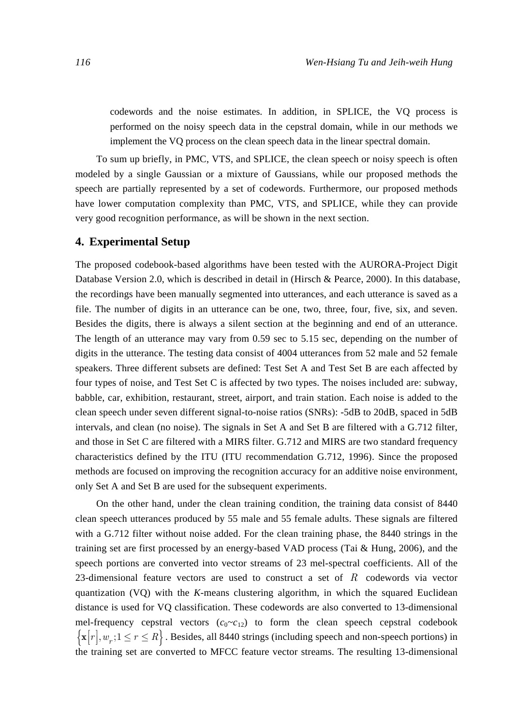codewords and the noise estimates. In addition, in SPLICE, the VQ process is performed on the noisy speech data in the cepstral domain, while in our methods we implement the VQ process on the clean speech data in the linear spectral domain.

To sum up briefly, in PMC, VTS, and SPLICE, the clean speech or noisy speech is often modeled by a single Gaussian or a mixture of Gaussians, while our proposed methods the speech are partially represented by a set of codewords. Furthermore, our proposed methods have lower computation complexity than PMC, VTS, and SPLICE, while they can provide very good recognition performance, as will be shown in the next section.

#### **4. Experimental Setup**

The proposed codebook-based algorithms have been tested with the AURORA-Project Digit Database Version 2.0, which is described in detail in (Hirsch & Pearce, 2000). In this database, the recordings have been manually segmented into utterances, and each utterance is saved as a file. The number of digits in an utterance can be one, two, three, four, five, six, and seven. Besides the digits, there is always a silent section at the beginning and end of an utterance. The length of an utterance may vary from 0.59 sec to 5.15 sec, depending on the number of digits in the utterance. The testing data consist of 4004 utterances from 52 male and 52 female speakers. Three different subsets are defined: Test Set A and Test Set B are each affected by four types of noise, and Test Set C is affected by two types. The noises included are: subway, babble, car, exhibition, restaurant, street, airport, and train station. Each noise is added to the clean speech under seven different signal-to-noise ratios (SNRs): -5dB to 20dB, spaced in 5dB intervals, and clean (no noise). The signals in Set A and Set B are filtered with a G.712 filter, and those in Set C are filtered with a MIRS filter. G.712 and MIRS are two standard frequency characteristics defined by the ITU (ITU recommendation G.712, 1996). Since the proposed methods are focused on improving the recognition accuracy for an additive noise environment, only Set A and Set B are used for the subsequent experiments.

On the other hand, under the clean training condition, the training data consist of 8440 clean speech utterances produced by 55 male and 55 female adults. These signals are filtered with a G.712 filter without noise added. For the clean training phase, the 8440 strings in the training set are first processed by an energy-based VAD process (Tai & Hung, 2006), and the speech portions are converted into vector streams of 23 mel-spectral coefficients. All of the 23-dimensional feature vectors are used to construct a set of *R* codewords via vector quantization (VQ) with the *K*-means clustering algorithm, in which the squared Euclidean distance is used for VQ classification. These codewords are also converted to 13-dimensional mel-frequency cepstral vectors  $(c_0 \sim c_{12})$  to form the clean speech cepstral codebook  ${x[r], w_r; 1 \le r \le R}$ . Besides, all 8440 strings (including speech and non-speech portions) in the training set are converted to MFCC feature vector streams. The resulting 13-dimensional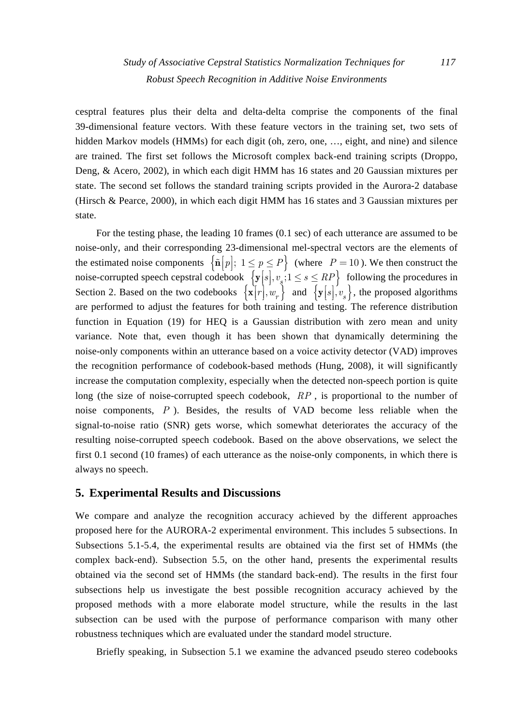cesptral features plus their delta and delta-delta comprise the components of the final 39-dimensional feature vectors. With these feature vectors in the training set, two sets of hidden Markov models (HMMs) for each digit (oh, zero, one, ..., eight, and nine) and silence are trained. The first set follows the Microsoft complex back-end training scripts (Droppo, Deng, & Acero, 2002), in which each digit HMM has 16 states and 20 Gaussian mixtures per state. The second set follows the standard training scripts provided in the Aurora-2 database (Hirsch & Pearce, 2000), in which each digit HMM has 16 states and 3 Gaussian mixtures per state.

For the testing phase, the leading 10 frames (0.1 sec) of each utterance are assumed to be noise-only, and their corresponding 23-dimensional mel-spectral vectors are the elements of the estimated noise components  $\left\{ \tilde{n} \middle| p \right\}$ ;  $1 \leq p \leq P \right\}$  (where  $P = 10$ ). We then construct the noise-corrupted speech cepstral codebook  $\left\{ \mathbf{y}[s], v_{s} : 1 \leq s \leq RP \right\}$  following the procedures in Section 2. Based on the two codebooks  $\{x[r], w_r\}$  and  $\{y[s], v_s\}$ , the proposed algorithms are performed to adjust the features for both training and testing. The reference distribution function in Equation (19) for HEQ is a Gaussian distribution with zero mean and unity variance. Note that, even though it has been shown that dynamically determining the noise-only components within an utterance based on a voice activity detector (VAD) improves the recognition performance of codebook-based methods (Hung, 2008), it will significantly increase the computation complexity, especially when the detected non-speech portion is quite long (the size of noise-corrupted speech codebook, *RP* , is proportional to the number of noise components, *P* ). Besides, the results of VAD become less reliable when the signal-to-noise ratio (SNR) gets worse, which somewhat deteriorates the accuracy of the resulting noise-corrupted speech codebook. Based on the above observations, we select the first 0.1 second (10 frames) of each utterance as the noise-only components, in which there is always no speech.

## **5. Experimental Results and Discussions**

We compare and analyze the recognition accuracy achieved by the different approaches proposed here for the AURORA-2 experimental environment. This includes 5 subsections. In Subsections 5.1-5.4, the experimental results are obtained via the first set of HMMs (the complex back-end). Subsection 5.5, on the other hand, presents the experimental results obtained via the second set of HMMs (the standard back-end). The results in the first four subsections help us investigate the best possible recognition accuracy achieved by the proposed methods with a more elaborate model structure, while the results in the last subsection can be used with the purpose of performance comparison with many other robustness techniques which are evaluated under the standard model structure.

Briefly speaking, in Subsection 5.1 we examine the advanced pseudo stereo codebooks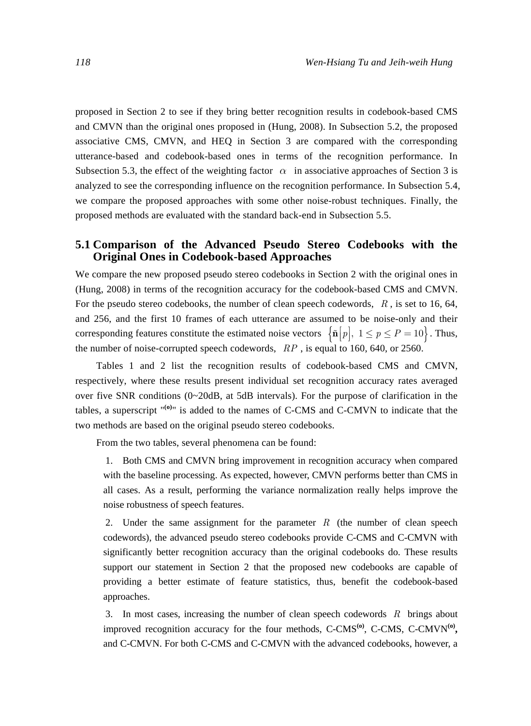proposed in Section 2 to see if they bring better recognition results in codebook-based CMS and CMVN than the original ones proposed in (Hung, 2008). In Subsection 5.2, the proposed associative CMS, CMVN, and HEQ in Section 3 are compared with the corresponding utterance-based and codebook-based ones in terms of the recognition performance. In Subsection 5.3, the effect of the weighting factor  $\alpha$  in associative approaches of Section 3 is analyzed to see the corresponding influence on the recognition performance. In Subsection 5.4, we compare the proposed approaches with some other noise-robust techniques. Finally, the proposed methods are evaluated with the standard back-end in Subsection 5.5.

# **5.1 Comparison of the Advanced Pseudo Stereo Codebooks with the Original Ones in Codebook-based Approaches**

We compare the new proposed pseudo stereo codebooks in Section 2 with the original ones in (Hung, 2008) in terms of the recognition accuracy for the codebook-based CMS and CMVN. For the pseudo stereo codebooks, the number of clean speech codewords, *R* , is set to 16, 64, and 256, and the first 10 frames of each utterance are assumed to be noise-only and their corresponding features constitute the estimated noise vectors  $\left\{ \tilde{n}[p], 1 \le p \le P = 10 \right\}$ . Thus, ⎥ the number of noise-corrupted speech codewords, *RP* , is equal to 160, 640, or 2560.

Tables 1 and 2 list the recognition results of codebook-based CMS and CMVN, respectively, where these results present individual set recognition accuracy rates averaged over five SNR conditions (0~20dB, at 5dB intervals). For the purpose of clarification in the tables, a superscript "**(o)**" is added to the names of C-CMS and C-CMVN to indicate that the two methods are based on the original pseudo stereo codebooks.

From the two tables, several phenomena can be found:

1. Both CMS and CMVN bring improvement in recognition accuracy when compared with the baseline processing. As expected, however, CMVN performs better than CMS in all cases. As a result, performing the variance normalization really helps improve the noise robustness of speech features.

2. Under the same assignment for the parameter *R* (the number of clean speech codewords), the advanced pseudo stereo codebooks provide C-CMS and C-CMVN with significantly better recognition accuracy than the original codebooks do. These results support our statement in Section 2 that the proposed new codebooks are capable of providing a better estimate of feature statistics, thus, benefit the codebook-based approaches.

3. In most cases, increasing the number of clean speech codewords *R* brings about improved recognition accuracy for the four methods, C-CMS<sup>(0)</sup>, C-CMS, C-CMVN<sup>(0)</sup>, and C-CMVN. For both C-CMS and C-CMVN with the advanced codebooks, however, a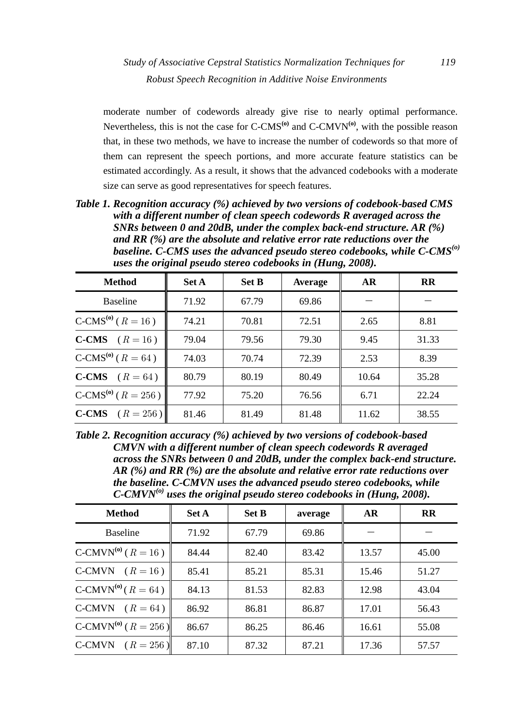moderate number of codewords already give rise to nearly optimal performance. Nevertheless, this is not the case for  $C\text{-CMS}^{(0)}$  and  $C\text{-CMVN}^{(0)}$ , with the possible reason that, in these two methods, we have to increase the number of codewords so that more of them can represent the speech portions, and more accurate feature statistics can be estimated accordingly. As a result, it shows that the advanced codebooks with a moderate size can serve as good representatives for speech features.

*Table 1. Recognition accuracy (%) achieved by two versions of codebook-based CMS with a different number of clean speech codewords R averaged across the SNRs between 0 and 20dB, under the complex back-end structure. AR (%) and RR (%) are the absolute and relative error rate reductions over the baseline. C-CMS uses the advanced pseudo stereo codebooks, while C-CMS(o) uses the original pseudo stereo codebooks in (Hung, 2008).* 

| <b>Method</b>                      | <b>Set A</b> | <b>Set B</b> | Average | AR    | <b>RR</b> |
|------------------------------------|--------------|--------------|---------|-------|-----------|
| <b>Baseline</b>                    | 71.92        | 67.79        | 69.86   |       |           |
| C-CMS <sup>(o)</sup> ( $R = 16$ )  | 74.21        | 70.81        | 72.51   | 2.65  | 8.81      |
| <b>C-CMS</b> $(R = 16)$            | 79.04        | 79.56        | 79.30   | 9.45  | 31.33     |
| $C\text{-CMS}^{(0)}$ ( $R = 64$ )  | 74.03        | 70.74        | 72.39   | 2.53  | 8.39      |
| <b>C-CMS</b> $(R = 64)$            | 80.79        | 80.19        | 80.49   | 10.64 | 35.28     |
| $C\text{-CMS}^{(0)}$ ( $R = 256$ ) | 77.92        | 75.20        | 76.56   | 6.71  | 22.24     |
| <b>C-CMS</b> $(R = 256)$           | 81.46        | 81.49        | 81.48   | 11.62 | 38.55     |

*Table 2. Recognition accuracy (%) achieved by two versions of codebook-based CMVN with a different number of clean speech codewords R averaged across the SNRs between 0 and 20dB, under the complex back-end structure. AR (%) and RR (%) are the absolute and relative error rate reductions over the baseline. C-CMVN uses the advanced pseudo stereo codebooks, while C-CMVN(o) uses the original pseudo stereo codebooks in (Hung, 2008).* 

| <b>Method</b>                       | <b>Set A</b> | <b>Set B</b> | average | <b>AR</b> | <b>RR</b> |
|-------------------------------------|--------------|--------------|---------|-----------|-----------|
| <b>Baseline</b>                     | 71.92        | 67.79        | 69.86   |           |           |
| C-CMVN <sup>(0)</sup> ( $R = 16$ )  | 84.44        | 82.40        | 83.42   | 13.57     | 45.00     |
| C-CMVN $(R = 16)$                   | 85.41        | 85.21        | 85.31   | 15.46     | 51.27     |
| $C-CMVN^{(0)}$ ( $R = 64$ )         | 84.13        | 81.53        | 82.83   | 12.98     | 43.04     |
| C-CMVN $(R = 64)$                   | 86.92        | 86.81        | 86.87   | 17.01     | 56.43     |
| C-CMVN <sup>(a)</sup> ( $R = 256$ ) | 86.67        | 86.25        | 86.46   | 16.61     | 55.08     |
| C-CMVN $(R = 256)$                  | 87.10        | 87.32        | 87.21   | 17.36     | 57.57     |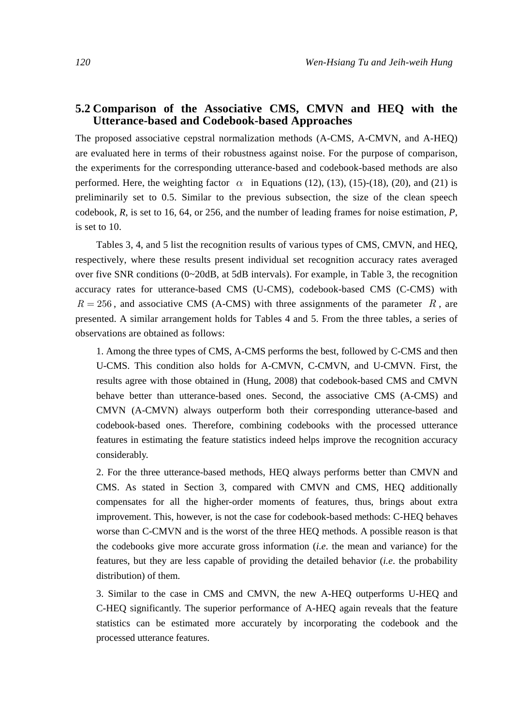# **5.2 Comparison of the Associative CMS, CMVN and HEQ with the Utterance-based and Codebook-based Approaches**

The proposed associative cepstral normalization methods (A-CMS, A-CMVN, and A-HEQ) are evaluated here in terms of their robustness against noise. For the purpose of comparison, the experiments for the corresponding utterance-based and codebook-based methods are also performed. Here, the weighting factor  $\alpha$  in Equations (12), (13), (15)-(18), (20), and (21) is preliminarily set to 0.5. Similar to the previous subsection, the size of the clean speech codebook, *R*, is set to 16, 64, or 256, and the number of leading frames for noise estimation, *P*, is set to 10.

Tables 3, 4, and 5 list the recognition results of various types of CMS, CMVN, and HEQ, respectively, where these results present individual set recognition accuracy rates averaged over five SNR conditions  $(0~20dB, at 5dB$  intervals). For example, in Table 3, the recognition accuracy rates for utterance-based CMS (U-CMS), codebook-based CMS (C-CMS) with  $R = 256$ , and associative CMS (A-CMS) with three assignments of the parameter  $R$ , are presented. A similar arrangement holds for Tables 4 and 5. From the three tables, a series of observations are obtained as follows:

1. Among the three types of CMS, A-CMS performs the best, followed by C-CMS and then U-CMS. This condition also holds for A-CMVN, C-CMVN, and U-CMVN. First, the results agree with those obtained in (Hung, 2008) that codebook-based CMS and CMVN behave better than utterance-based ones. Second, the associative CMS (A-CMS) and CMVN (A-CMVN) always outperform both their corresponding utterance-based and codebook-based ones. Therefore, combining codebooks with the processed utterance features in estimating the feature statistics indeed helps improve the recognition accuracy considerably.

2. For the three utterance-based methods, HEQ always performs better than CMVN and CMS. As stated in Section 3, compared with CMVN and CMS, HEQ additionally compensates for all the higher-order moments of features, thus, brings about extra improvement. This, however, is not the case for codebook-based methods: C-HEQ behaves worse than C-CMVN and is the worst of the three HEQ methods. A possible reason is that the codebooks give more accurate gross information (*i.e*. the mean and variance) for the features, but they are less capable of providing the detailed behavior (*i.e*. the probability distribution) of them.

3. Similar to the case in CMS and CMVN, the new A-HEQ outperforms U-HEQ and C-HEQ significantly. The superior performance of A-HEQ again reveals that the feature statistics can be estimated more accurately by incorporating the codebook and the processed utterance features.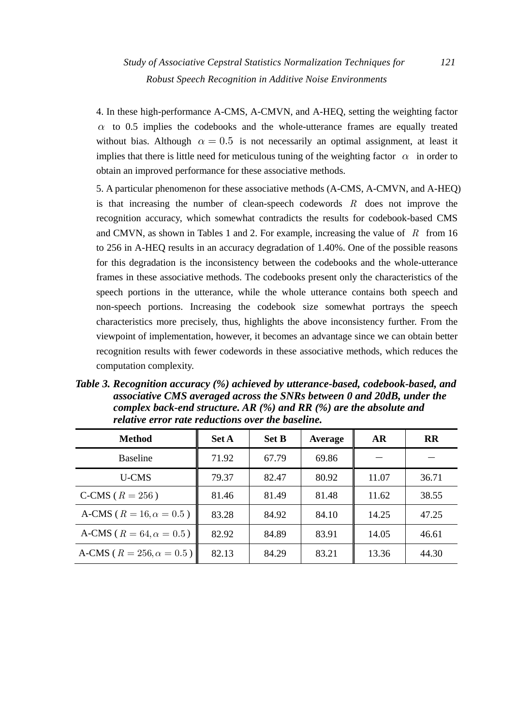4. In these high-performance A-CMS, A-CMVN, and A-HEQ, setting the weighting factor  $\alpha$  to 0.5 implies the codebooks and the whole-utterance frames are equally treated without bias. Although  $\alpha = 0.5$  is not necessarily an optimal assignment, at least it implies that there is little need for meticulous tuning of the weighting factor  $\alpha$  in order to obtain an improved performance for these associative methods.

5. A particular phenomenon for these associative methods (A-CMS, A-CMVN, and A-HEQ) is that increasing the number of clean-speech codewords *R* does not improve the recognition accuracy, which somewhat contradicts the results for codebook-based CMS and CMVN, as shown in Tables 1 and 2. For example, increasing the value of *R* from 16 to 256 in A-HEQ results in an accuracy degradation of 1.40%. One of the possible reasons for this degradation is the inconsistency between the codebooks and the whole-utterance frames in these associative methods. The codebooks present only the characteristics of the speech portions in the utterance, while the whole utterance contains both speech and non-speech portions. Increasing the codebook size somewhat portrays the speech characteristics more precisely, thus, highlights the above inconsistency further. From the viewpoint of implementation, however, it becomes an advantage since we can obtain better recognition results with fewer codewords in these associative methods, which reduces the computation complexity.

*Table 3. Recognition accuracy (%) achieved by utterance-based, codebook-based, and associative CMS averaged across the SNRs between 0 and 20dB, under the complex back-end structure. AR (%) and RR (%) are the absolute and relative error rate reductions over the baseline.* 

| <b>Method</b>                     | <b>Set A</b> | <b>Set B</b> | Average | AR    | $\mathbf{R}$ |
|-----------------------------------|--------------|--------------|---------|-------|--------------|
| <b>Baseline</b>                   | 71.92        | 67.79        | 69.86   |       |              |
| U-CMS                             | 79.37        | 82.47        | 80.92   | 11.07 | 36.71        |
| C-CMS ( $R = 256$ )               | 81.46        | 81.49        | 81.48   | 11.62 | 38.55        |
| A-CMS ( $R = 16, \alpha = 0.5$ )  | 83.28        | 84.92        | 84.10   | 14.25 | 47.25        |
| A-CMS ( $R = 64, \alpha = 0.5$ )  | 82.92        | 84.89        | 83.91   | 14.05 | 46.61        |
| A-CMS ( $R = 256, \alpha = 0.5$ ) | 82.13        | 84.29        | 83.21   | 13.36 | 44.30        |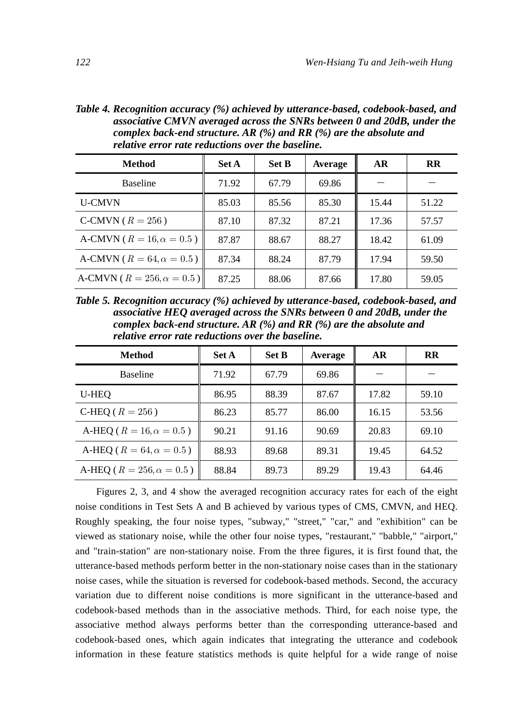*Table 4. Recognition accuracy (%) achieved by utterance-based, codebook-based, and associative CMVN averaged across the SNRs between 0 and 20dB, under the complex back-end structure. AR (%) and RR (%) are the absolute and relative error rate reductions over the baseline.* 

| <b>Method</b>                        | <b>Set A</b> | <b>Set B</b> | Average | <b>AR</b> | <b>RR</b> |
|--------------------------------------|--------------|--------------|---------|-----------|-----------|
| <b>Baseline</b>                      | 71.92        | 67.79        | 69.86   |           |           |
| <b>U-CMVN</b>                        | 85.03        | 85.56        | 85.30   | 15.44     | 51.22     |
| C-CMVN ( $R = 256$ )                 | 87.10        | 87.32        | 87.21   | 17.36     | 57.57     |
| A-CMVN ( $R = 16, \alpha = 0.5$ )    | 87.87        | 88.67        | 88.27   | 18.42     | 61.09     |
| A-CMVN ( $R = 64$ , $\alpha = 0.5$ ) | 87.34        | 88.24        | 87.79   | 17.94     | 59.50     |
| A-CMVN ( $R = 256, \alpha = 0.5$ )   | 87.25        | 88.06        | 87.66   | 17.80     | 59.05     |

*Table 5. Recognition accuracy (%) achieved by utterance-based, codebook-based, and associative HEQ averaged across the SNRs between 0 and 20dB, under the complex back-end structure. AR (%) and RR (%) are the absolute and relative error rate reductions over the baseline.* 

| <b>Method</b>                       | <b>Set A</b> | <b>Set B</b> | Average | AR    | <b>RR</b> |
|-------------------------------------|--------------|--------------|---------|-------|-----------|
| <b>Baseline</b>                     | 71.92        | 67.79        | 69.86   |       |           |
| U-HEO                               | 86.95        | 88.39        | 87.67   | 17.82 | 59.10     |
| C-HEQ ( $R = 256$ )                 | 86.23        | 85.77        | 86.00   | 16.15 | 53.56     |
| A-HEQ ( $R = 16, \alpha = 0.5$ )    | 90.21        | 91.16        | 90.69   | 20.83 | 69.10     |
| A-HEO ( $R = 64$ , $\alpha = 0.5$ ) | 88.93        | 89.68        | 89.31   | 19.45 | 64.52     |
| A-HEQ ( $R = 256, \alpha = 0.5$ )   | 88.84        | 89.73        | 89.29   | 19.43 | 64.46     |

Figures 2, 3, and 4 show the averaged recognition accuracy rates for each of the eight noise conditions in Test Sets A and B achieved by various types of CMS, CMVN, and HEQ. Roughly speaking, the four noise types, "subway," "street," "car," and "exhibition" can be viewed as stationary noise, while the other four noise types, "restaurant," "babble," "airport," and "train-station" are non-stationary noise. From the three figures, it is first found that, the utterance-based methods perform better in the non-stationary noise cases than in the stationary noise cases, while the situation is reversed for codebook-based methods. Second, the accuracy variation due to different noise conditions is more significant in the utterance-based and codebook-based methods than in the associative methods. Third, for each noise type, the associative method always performs better than the corresponding utterance-based and codebook-based ones, which again indicates that integrating the utterance and codebook information in these feature statistics methods is quite helpful for a wide range of noise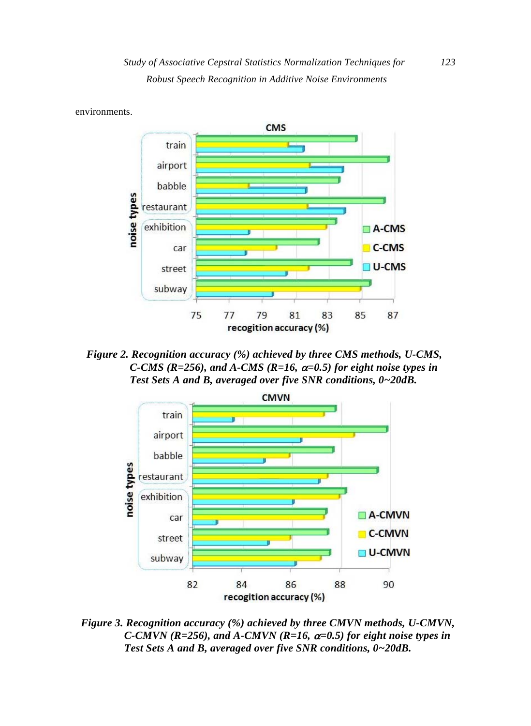

*Figure 2. Recognition accuracy (%) achieved by three CMS methods, U-CMS, C-CMS (R=256), and A-CMS (R=16,* α*=0.5) for eight noise types in Test Sets A and B, averaged over five SNR conditions, 0~20dB.* 



*Figure 3. Recognition accuracy (%) achieved by three CMVN methods, U-CMVN, C-CMVN (R=256), and A-CMVN (R=16,*  $\alpha$ *=0.5) for eight noise types in Test Sets A and B, averaged over five SNR conditions, 0~20dB.*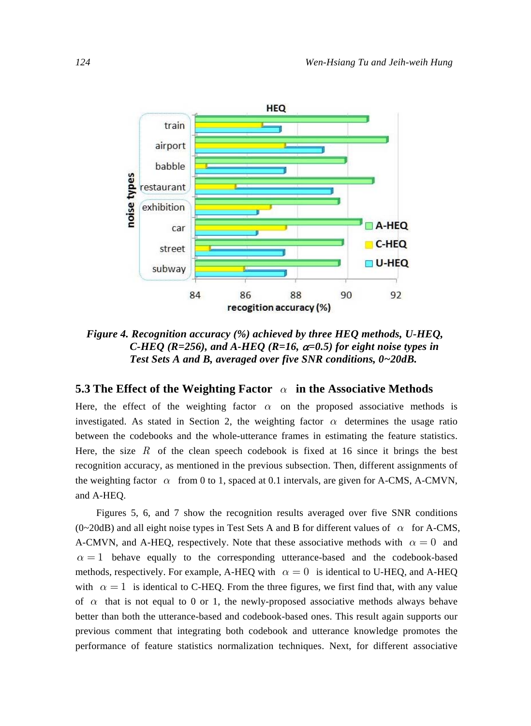

*Figure 4. Recognition accuracy (%) achieved by three HEQ methods, U-HEQ, C-HEO (R=256), and A-HEO (R=16,*  $\alpha$ *=0.5) for eight noise types in Test Sets A and B, averaged over five SNR conditions, 0~20dB.* 

# **5.3 The Effect of the Weighting Factor** *α* **in the Associative Methods**

Here, the effect of the weighting factor  $\alpha$  on the proposed associative methods is investigated. As stated in Section 2, the weighting factor  $\alpha$  determines the usage ratio between the codebooks and the whole-utterance frames in estimating the feature statistics. Here, the size  $R$  of the clean speech codebook is fixed at 16 since it brings the best recognition accuracy, as mentioned in the previous subsection. Then, different assignments of the weighting factor  $\alpha$  from 0 to 1, spaced at 0.1 intervals, are given for A-CMS, A-CMVN, and A-HEQ.

Figures 5, 6, and 7 show the recognition results averaged over five SNR conditions (0~20dB) and all eight noise types in Test Sets A and B for different values of *α* for A-CMS, A-CMVN, and A-HEQ, respectively. Note that these associative methods with  $\alpha = 0$  and  $\alpha = 1$  behave equally to the corresponding utterance-based and the codebook-based methods, respectively. For example, A-HEO with  $\alpha = 0$  is identical to U-HEO, and A-HEO with  $\alpha = 1$  is identical to C-HEQ. From the three figures, we first find that, with any value of  $\alpha$  that is not equal to 0 or 1, the newly-proposed associative methods always behave better than both the utterance-based and codebook-based ones. This result again supports our previous comment that integrating both codebook and utterance knowledge promotes the performance of feature statistics normalization techniques. Next, for different associative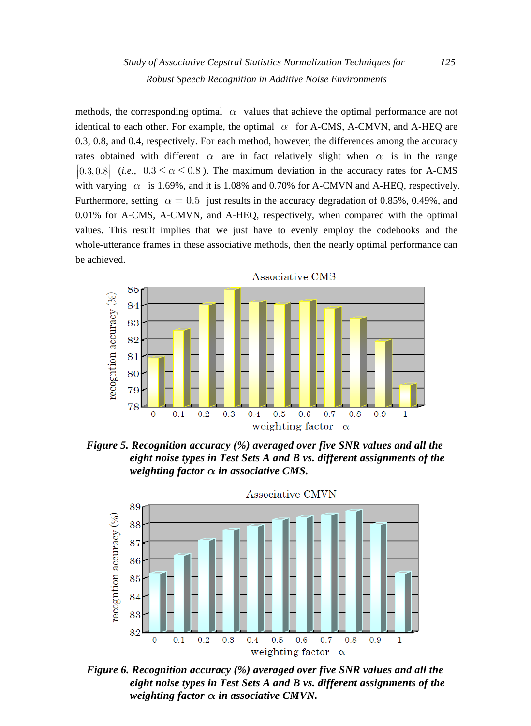methods, the corresponding optimal  $\alpha$  values that achieve the optimal performance are not identical to each other. For example, the optimal  $\alpha$  for A-CMS, A-CMVN, and A-HEQ are 0.3, 0.8, and 0.4, respectively. For each method, however, the differences among the accuracy rates obtained with different  $\alpha$  are in fact relatively slight when  $\alpha$  is in the range  $\vert 0.3, 0.8 \vert$  (*i.e.*,  $0.3 \le \alpha \le 0.8$ ). The maximum deviation in the accuracy rates for A-CMS with varying  $\alpha$  is 1.69%, and it is 1.08% and 0.70% for A-CMVN and A-HEQ, respectively. Furthermore, setting  $\alpha = 0.5$  just results in the accuracy degradation of 0.85%, 0.49%, and 0.01% for A-CMS, A-CMVN, and A-HEQ, respectively, when compared with the optimal values. This result implies that we just have to evenly employ the codebooks and the whole-utterance frames in these associative methods, then the nearly optimal performance can be achieved.



*Figure 5. Recognition accuracy (%) averaged over five SNR values and all the eight noise types in Test Sets A and B vs. different assignments of the weighting factor α in associative CMS.* 



 *Figure 6. Recognition accuracy (%) averaged over five SNR values and all the eight noise types in Test Sets A and B vs. different assignments of the weighting factor*  $\alpha$  *in associative CMVN.*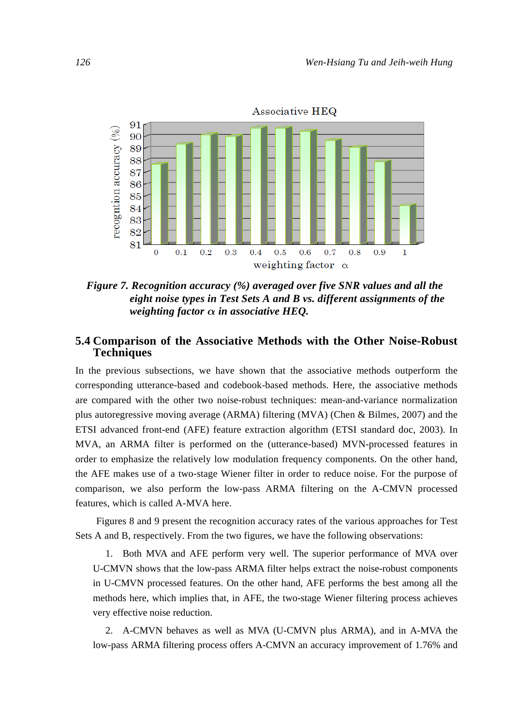

*Figure 7. Recognition accuracy (%) averaged over five SNR values and all the eight noise types in Test Sets A and B vs. different assignments of the weighting factor*  $\alpha$  *in associative HEO.* 

# **5.4 Comparison of the Associative Methods with the Other Noise-Robust Techniques**

In the previous subsections, we have shown that the associative methods outperform the corresponding utterance-based and codebook-based methods. Here, the associative methods are compared with the other two noise-robust techniques: mean-and-variance normalization plus autoregressive moving average (ARMA) filtering (MVA) (Chen & Bilmes, 2007) and the ETSI advanced front-end (AFE) feature extraction algorithm (ETSI standard doc, 2003). In MVA, an ARMA filter is performed on the (utterance-based) MVN-processed features in order to emphasize the relatively low modulation frequency components. On the other hand, the AFE makes use of a two-stage Wiener filter in order to reduce noise. For the purpose of comparison, we also perform the low-pass ARMA filtering on the A-CMVN processed features, which is called A-MVA here.

Figures 8 and 9 present the recognition accuracy rates of the various approaches for Test Sets A and B, respectively. From the two figures, we have the following observations:

1. Both MVA and AFE perform very well. The superior performance of MVA over U-CMVN shows that the low-pass ARMA filter helps extract the noise-robust components in U-CMVN processed features. On the other hand, AFE performs the best among all the methods here, which implies that, in AFE, the two-stage Wiener filtering process achieves very effective noise reduction.

2. A-CMVN behaves as well as MVA (U-CMVN plus ARMA), and in A-MVA the low-pass ARMA filtering process offers A-CMVN an accuracy improvement of 1.76% and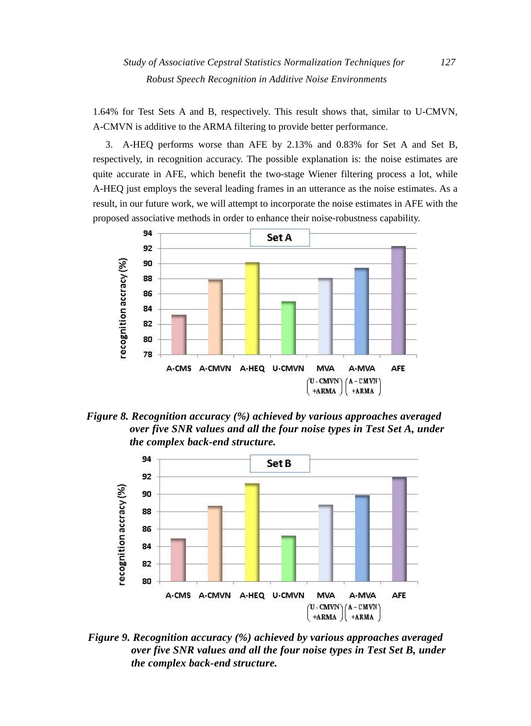1.64% for Test Sets A and B, respectively. This result shows that, similar to U-CMVN, A-CMVN is additive to the ARMA filtering to provide better performance.

3. A-HEQ performs worse than AFE by 2.13% and 0.83% for Set A and Set B, respectively, in recognition accuracy. The possible explanation is: the noise estimates are quite accurate in AFE, which benefit the two-stage Wiener filtering process a lot, while A-HEQ just employs the several leading frames in an utterance as the noise estimates. As a result, in our future work, we will attempt to incorporate the noise estimates in AFE with the proposed associative methods in order to enhance their noise-robustness capability.



*Figure 8. Recognition accuracy (%) achieved by various approaches averaged over five SNR values and all the four noise types in Test Set A, under the complex back-end structure.* 



*Figure 9. Recognition accuracy (%) achieved by various approaches averaged over five SNR values and all the four noise types in Test Set B, under the complex back-end structure.*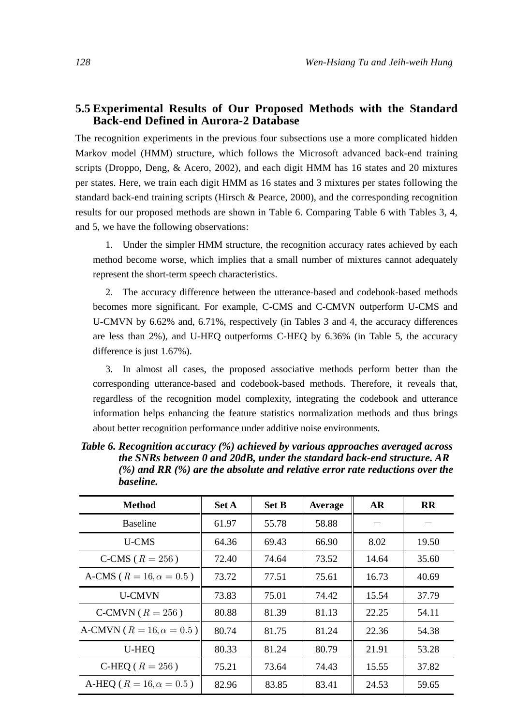# **5.5 Experimental Results of Our Proposed Methods with the Standard Back-end Defined in Aurora-2 Database**

The recognition experiments in the previous four subsections use a more complicated hidden Markov model (HMM) structure, which follows the Microsoft advanced back-end training scripts (Droppo, Deng, & Acero, 2002), and each digit HMM has 16 states and 20 mixtures per states. Here, we train each digit HMM as 16 states and 3 mixtures per states following the standard back-end training scripts (Hirsch & Pearce, 2000), and the corresponding recognition results for our proposed methods are shown in Table 6. Comparing Table 6 with Tables 3, 4, and 5, we have the following observations:

1. Under the simpler HMM structure, the recognition accuracy rates achieved by each method become worse, which implies that a small number of mixtures cannot adequately represent the short-term speech characteristics.

2. The accuracy difference between the utterance-based and codebook-based methods becomes more significant. For example, C-CMS and C-CMVN outperform U-CMS and U-CMVN by 6.62% and, 6.71%, respectively (in Tables 3 and 4, the accuracy differences are less than 2%), and U-HEQ outperforms C-HEQ by 6.36% (in Table 5, the accuracy difference is just 1.67%).

3. In almost all cases, the proposed associative methods perform better than the corresponding utterance-based and codebook-based methods. Therefore, it reveals that, regardless of the recognition model complexity, integrating the codebook and utterance information helps enhancing the feature statistics normalization methods and thus brings about better recognition performance under additive noise environments.

| vustiiv.                          |              |              |         |           |           |
|-----------------------------------|--------------|--------------|---------|-----------|-----------|
| <b>Method</b>                     | <b>Set A</b> | <b>Set B</b> | Average | <b>AR</b> | <b>RR</b> |
| <b>Baseline</b>                   | 61.97        | 55.78        | 58.88   |           |           |
| <b>U-CMS</b>                      | 64.36        | 69.43        | 66.90   | 8.02      | 19.50     |
| C-CMS ( $R = 256$ )               | 72.40        | 74.64        | 73.52   | 14.64     | 35.60     |
| A-CMS ( $R = 16, \alpha = 0.5$ )  | 73.72        | 77.51        | 75.61   | 16.73     | 40.69     |
| <b>U-CMVN</b>                     | 73.83        | 75.01        | 74.42   | 15.54     | 37.79     |
| C-CMVN ( $R = 256$ )              | 80.88        | 81.39        | 81.13   | 22.25     | 54.11     |
| A-CMVN ( $R = 16, \alpha = 0.5$ ) | 80.74        | 81.75        | 81.24   | 22.36     | 54.38     |
| U-HEQ                             | 80.33        | 81.24        | 80.79   | 21.91     | 53.28     |
| C-HEQ ( $R = 256$ )               | 75.21        | 73.64        | 74.43   | 15.55     | 37.82     |
| A-HEQ ( $R = 16, \alpha = 0.5$ )  | 82.96        | 83.85        | 83.41   | 24.53     | 59.65     |

*Table 6. Recognition accuracy (%) achieved by various approaches averaged across the SNRs between 0 and 20dB, under the standard back-end structure. AR (%) and RR (%) are the absolute and relative error rate reductions over the baseline.*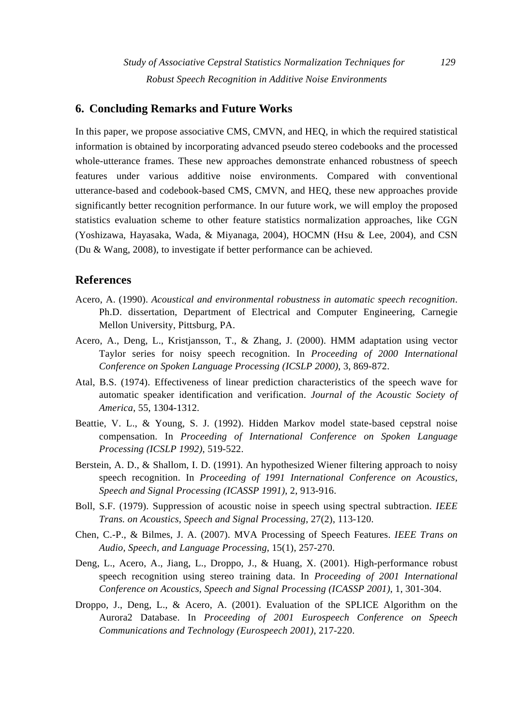# **6. Concluding Remarks and Future Works**

In this paper, we propose associative CMS, CMVN, and HEQ, in which the required statistical information is obtained by incorporating advanced pseudo stereo codebooks and the processed whole-utterance frames. These new approaches demonstrate enhanced robustness of speech features under various additive noise environments. Compared with conventional utterance-based and codebook-based CMS, CMVN, and HEQ, these new approaches provide significantly better recognition performance. In our future work, we will employ the proposed statistics evaluation scheme to other feature statistics normalization approaches, like CGN (Yoshizawa, Hayasaka, Wada, & Miyanaga, 2004), HOCMN (Hsu & Lee, 2004), and CSN (Du & Wang, 2008), to investigate if better performance can be achieved.

## **References**

- Acero, A. (1990). *Acoustical and environmental robustness in automatic speech recognition*. Ph.D. dissertation, Department of Electrical and Computer Engineering, Carnegie Mellon University, Pittsburg, PA.
- Acero, A., Deng, L., Kristjansson, T., & Zhang, J. (2000). HMM adaptation using vector Taylor series for noisy speech recognition. In *Proceeding of 2000 International Conference on Spoken Language Processing (ICSLP 2000)*, 3, 869-872.
- Atal, B.S. (1974). Effectiveness of linear prediction characteristics of the speech wave for automatic speaker identification and verification. *Journal of the Acoustic Society of America*, 55, 1304-1312.
- Beattie, V. L., & Young, S. J. (1992). Hidden Markov model state-based cepstral noise compensation. In *Proceeding of International Conference on Spoken Language Processing (ICSLP 1992)*, 519-522.
- Berstein, A. D., & Shallom, I. D. (1991). An hypothesized Wiener filtering approach to noisy speech recognition. In *Proceeding of 1991 International Conference on Acoustics, Speech and Signal Processing (ICASSP 1991)*, 2, 913-916.
- Boll, S.F. (1979). Suppression of acoustic noise in speech using spectral subtraction. *IEEE Trans. on Acoustics, Speech and Signal Processing*, 27(2), 113-120.
- Chen, C.-P., & Bilmes, J. A. (2007). MVA Processing of Speech Features. *IEEE Trans on Audio, Speech, and Language Processing*, 15(1), 257-270.
- Deng, L., Acero, A., Jiang, L., Droppo, J., & Huang, X. (2001). High-performance robust speech recognition using stereo training data. In *Proceeding of 2001 International Conference on Acoustics, Speech and Signal Processing (ICASSP 2001)*, 1, 301-304.
- Droppo, J., Deng, L., & Acero, A. (2001). Evaluation of the SPLICE Algorithm on the Aurora2 Database. In *Proceeding of 2001 Eurospeech Conference on Speech Communications and Technology (Eurospeech 2001)*, 217-220.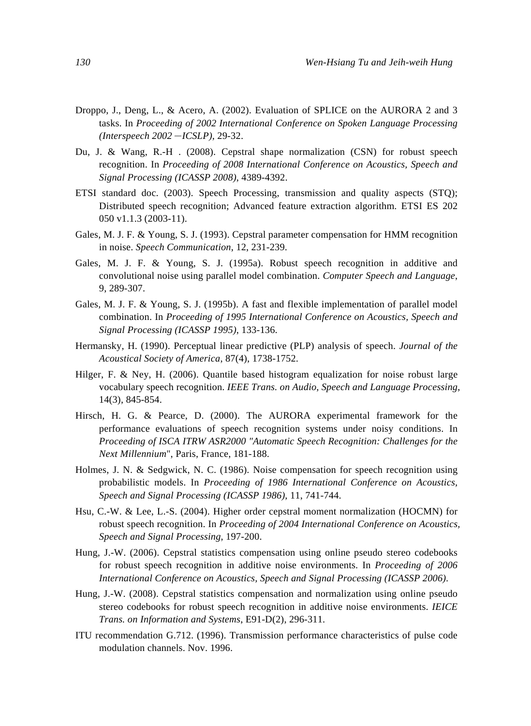- Droppo, J., Deng, L., & Acero, A. (2002). Evaluation of SPLICE on the AURORA 2 and 3 tasks. In *Proceeding of 2002 International Conference on Spoken Language Processing (Interspeech 2002*-*ICSLP)*, 29-32.
- Du, J. & Wang, R.-H . (2008). Cepstral shape normalization (CSN) for robust speech recognition. In *Proceeding of 2008 International Conference on Acoustics, Speech and Signal Processing (ICASSP 2008)*, 4389-4392.
- ETSI standard doc. (2003). Speech Processing, transmission and quality aspects (STQ); Distributed speech recognition; Advanced feature extraction algorithm. ETSI ES 202 050 v1.1.3 (2003-11).
- Gales, M. J. F. & Young, S. J. (1993). Cepstral parameter compensation for HMM recognition in noise. *Speech Communication*, 12, 231-239.
- Gales, M. J. F. & Young, S. J. (1995a). Robust speech recognition in additive and convolutional noise using parallel model combination. *Computer Speech and Language*, 9, 289-307.
- Gales, M. J. F. & Young, S. J. (1995b). A fast and flexible implementation of parallel model combination. In *Proceeding of 1995 International Conference on Acoustics, Speech and Signal Processing (ICASSP 1995)*, 133-136.
- Hermansky, H. (1990). Perceptual linear predictive (PLP) analysis of speech. *Journal of the Acoustical Society of America*, 87(4), 1738-1752.
- Hilger, F. & Ney, H. (2006). Quantile based histogram equalization for noise robust large vocabulary speech recognition. *IEEE Trans. on Audio, Speech and Language Processing*, 14(3), 845-854.
- Hirsch, H. G. & Pearce, D. (2000). The AURORA experimental framework for the performance evaluations of speech recognition systems under noisy conditions. In *Proceeding of ISCA ITRW ASR2000 "Automatic Speech Recognition: Challenges for the Next Millennium*", Paris, France, 181-188.
- Holmes, J. N. & Sedgwick, N. C. (1986). Noise compensation for speech recognition using probabilistic models. In *Proceeding of 1986 International Conference on Acoustics, Speech and Signal Processing (ICASSP 1986)*, 11, 741-744.
- Hsu, C.-W. & Lee, L.-S. (2004). Higher order cepstral moment normalization (HOCMN) for robust speech recognition. In *Proceeding of 2004 International Conference on Acoustics, Speech and Signal Processing*, 197-200.
- Hung, J.-W. (2006). Cepstral statistics compensation using online pseudo stereo codebooks for robust speech recognition in additive noise environments. In *Proceeding of 2006 International Conference on Acoustics, Speech and Signal Processing (ICASSP 2006)*.
- Hung, J.-W. (2008). Cepstral statistics compensation and normalization using online pseudo stereo codebooks for robust speech recognition in additive noise environments. *IEICE Trans. on Information and Systems*, E91-D(2), 296-311.
- ITU recommendation G.712. (1996). Transmission performance characteristics of pulse code modulation channels. Nov. 1996.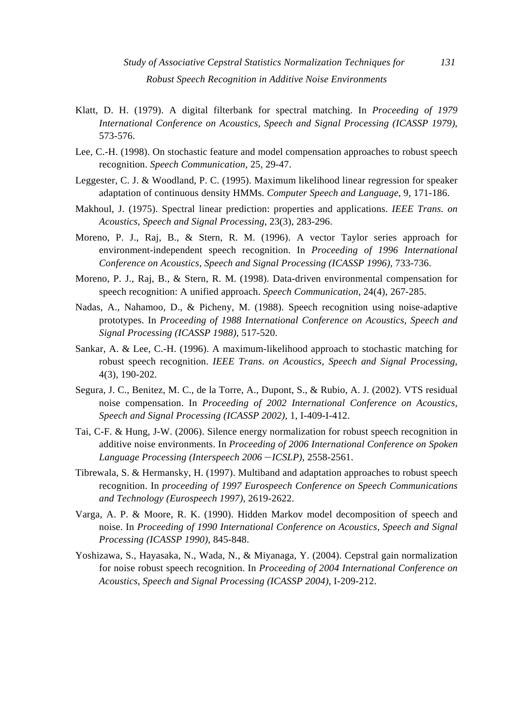- Klatt, D. H. (1979). A digital filterbank for spectral matching. In *Proceeding of 1979 International Conference on Acoustics, Speech and Signal Processing (ICASSP 1979)*, 573-576.
- Lee, C.-H. (1998). On stochastic feature and model compensation approaches to robust speech recognition. *Speech Communication*, 25, 29-47.
- Leggester, C. J. & Woodland, P. C. (1995). Maximum likelihood linear regression for speaker adaptation of continuous density HMMs. *Computer Speech and Language*, 9, 171-186.
- Makhoul, J. (1975). Spectral linear prediction: properties and applications. *IEEE Trans. on Acoustics, Speech and Signal Processing*, 23(3), 283-296.
- Moreno, P. J., Raj, B., & Stern, R. M. (1996). A vector Taylor series approach for environment-independent speech recognition. In *Proceeding of 1996 International Conference on Acoustics, Speech and Signal Processing (ICASSP 1996)*, 733-736.
- Moreno, P. J., Raj, B., & Stern, R. M. (1998). Data-driven environmental compensation for speech recognition: A unified approach. *Speech Communication*, 24(4), 267-285.
- Nadas, A., Nahamoo, D., & Picheny, M. (1988). Speech recognition using noise-adaptive prototypes. In *Proceeding of 1988 International Conference on Acoustics, Speech and Signal Processing (ICASSP 1988)*, 517-520.
- Sankar, A. & Lee, C.-H. (1996). A maximum-likelihood approach to stochastic matching for robust speech recognition. *IEEE Trans. on Acoustics, Speech and Signal Processing*, 4(3), 190-202.
- Segura, J. C., Benitez, M. C., de la Torre, A., Dupont, S., & Rubio, A. J. (2002). VTS residual noise compensation. In *Proceeding of 2002 International Conference on Acoustics, Speech and Signal Processing (ICASSP 2002)*, 1, I-409-I-412.
- Tai, C-F. & Hung, J-W. (2006). Silence energy normalization for robust speech recognition in additive noise environments. In *Proceeding of 2006 International Conference on Spoken Language Processing (Interspeech 2006*-*ICSLP)*, 2558-2561.
- Tibrewala, S. & Hermansky, H. (1997). Multiband and adaptation approaches to robust speech recognition. In *proceeding of 1997 Eurospeech Conference on Speech Communications and Technology (Eurospeech 1997)*, 2619-2622.
- Varga, A. P. & Moore, R. K. (1990). Hidden Markov model decomposition of speech and noise. In *Proceeding of 1990 International Conference on Acoustics, Speech and Signal Processing (ICASSP 1990)*, 845-848.
- Yoshizawa, S., Hayasaka, N., Wada, N., & Miyanaga, Y. (2004). Cepstral gain normalization for noise robust speech recognition. In *Proceeding of 2004 International Conference on Acoustics, Speech and Signal Processing (ICASSP 2004)*, I-209-212.